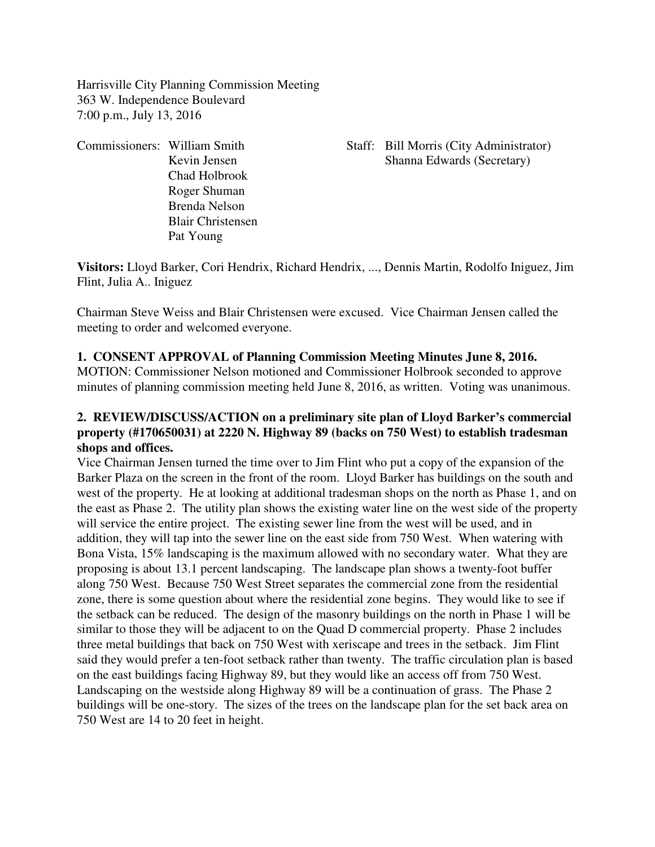Harrisville City Planning Commission Meeting 363 W. Independence Boulevard 7:00 p.m., July 13, 2016

Chad Holbrook Roger Shuman Brenda Nelson Blair Christensen Pat Young

Commissioners: William Smith Staff: Bill Morris (City Administrator) Kevin Jensen Shanna Edwards (Secretary)

**Visitors:** Lloyd Barker, Cori Hendrix, Richard Hendrix, ..., Dennis Martin, Rodolfo Iniguez, Jim Flint, Julia A.. Iniguez

Chairman Steve Weiss and Blair Christensen were excused. Vice Chairman Jensen called the meeting to order and welcomed everyone.

### **1. CONSENT APPROVAL of Planning Commission Meeting Minutes June 8, 2016.**

MOTION: Commissioner Nelson motioned and Commissioner Holbrook seconded to approve minutes of planning commission meeting held June 8, 2016, as written. Voting was unanimous.

## **2. REVIEW/DISCUSS/ACTION on a preliminary site plan of Lloyd Barker's commercial property (#170650031) at 2220 N. Highway 89 (backs on 750 West) to establish tradesman shops and offices.**

Vice Chairman Jensen turned the time over to Jim Flint who put a copy of the expansion of the Barker Plaza on the screen in the front of the room. Lloyd Barker has buildings on the south and west of the property. He at looking at additional tradesman shops on the north as Phase 1, and on the east as Phase 2. The utility plan shows the existing water line on the west side of the property will service the entire project. The existing sewer line from the west will be used, and in addition, they will tap into the sewer line on the east side from 750 West. When watering with Bona Vista, 15% landscaping is the maximum allowed with no secondary water. What they are proposing is about 13.1 percent landscaping. The landscape plan shows a twenty-foot buffer along 750 West. Because 750 West Street separates the commercial zone from the residential zone, there is some question about where the residential zone begins. They would like to see if the setback can be reduced. The design of the masonry buildings on the north in Phase 1 will be similar to those they will be adjacent to on the Quad D commercial property. Phase 2 includes three metal buildings that back on 750 West with xeriscape and trees in the setback. Jim Flint said they would prefer a ten-foot setback rather than twenty. The traffic circulation plan is based on the east buildings facing Highway 89, but they would like an access off from 750 West. Landscaping on the westside along Highway 89 will be a continuation of grass. The Phase 2 buildings will be one-story. The sizes of the trees on the landscape plan for the set back area on 750 West are 14 to 20 feet in height.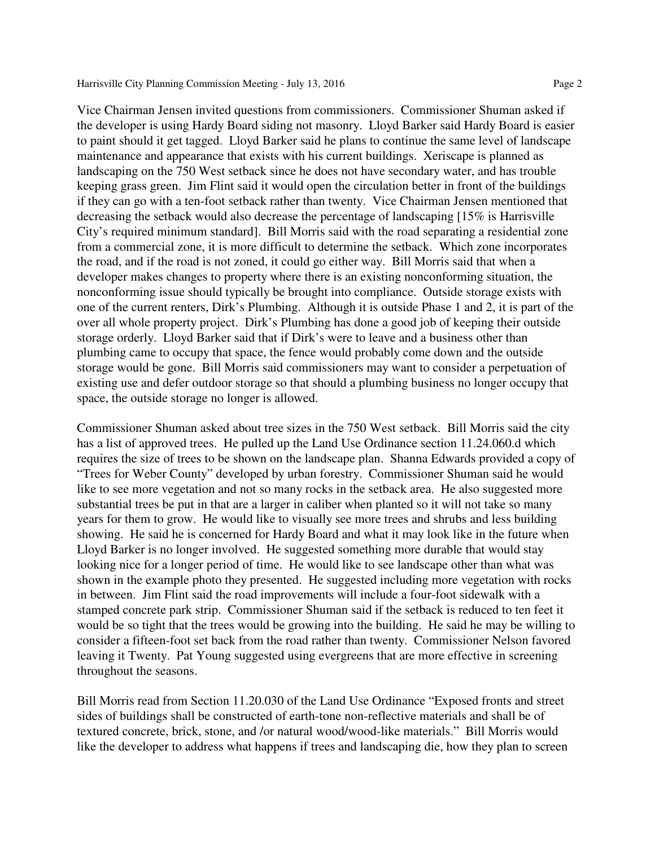Vice Chairman Jensen invited questions from commissioners. Commissioner Shuman asked if the developer is using Hardy Board siding not masonry. Lloyd Barker said Hardy Board is easier to paint should it get tagged. Lloyd Barker said he plans to continue the same level of landscape maintenance and appearance that exists with his current buildings. Xeriscape is planned as landscaping on the 750 West setback since he does not have secondary water, and has trouble keeping grass green. Jim Flint said it would open the circulation better in front of the buildings if they can go with a ten-foot setback rather than twenty. Vice Chairman Jensen mentioned that decreasing the setback would also decrease the percentage of landscaping [15% is Harrisville City's required minimum standard]. Bill Morris said with the road separating a residential zone from a commercial zone, it is more difficult to determine the setback. Which zone incorporates the road, and if the road is not zoned, it could go either way. Bill Morris said that when a developer makes changes to property where there is an existing nonconforming situation, the nonconforming issue should typically be brought into compliance. Outside storage exists with one of the current renters, Dirk's Plumbing. Although it is outside Phase 1 and 2, it is part of the over all whole property project. Dirk's Plumbing has done a good job of keeping their outside storage orderly. Lloyd Barker said that if Dirk's were to leave and a business other than plumbing came to occupy that space, the fence would probably come down and the outside storage would be gone. Bill Morris said commissioners may want to consider a perpetuation of existing use and defer outdoor storage so that should a plumbing business no longer occupy that space, the outside storage no longer is allowed.

Commissioner Shuman asked about tree sizes in the 750 West setback. Bill Morris said the city has a list of approved trees. He pulled up the Land Use Ordinance section 11.24.060.d which requires the size of trees to be shown on the landscape plan. Shanna Edwards provided a copy of "Trees for Weber County" developed by urban forestry. Commissioner Shuman said he would like to see more vegetation and not so many rocks in the setback area. He also suggested more substantial trees be put in that are a larger in caliber when planted so it will not take so many years for them to grow. He would like to visually see more trees and shrubs and less building showing. He said he is concerned for Hardy Board and what it may look like in the future when Lloyd Barker is no longer involved. He suggested something more durable that would stay looking nice for a longer period of time. He would like to see landscape other than what was shown in the example photo they presented. He suggested including more vegetation with rocks in between. Jim Flint said the road improvements will include a four-foot sidewalk with a stamped concrete park strip. Commissioner Shuman said if the setback is reduced to ten feet it would be so tight that the trees would be growing into the building. He said he may be willing to consider a fifteen-foot set back from the road rather than twenty. Commissioner Nelson favored leaving it Twenty. Pat Young suggested using evergreens that are more effective in screening throughout the seasons.

Bill Morris read from Section 11.20.030 of the Land Use Ordinance "Exposed fronts and street sides of buildings shall be constructed of earth-tone non-reflective materials and shall be of textured concrete, brick, stone, and /or natural wood/wood-like materials." Bill Morris would like the developer to address what happens if trees and landscaping die, how they plan to screen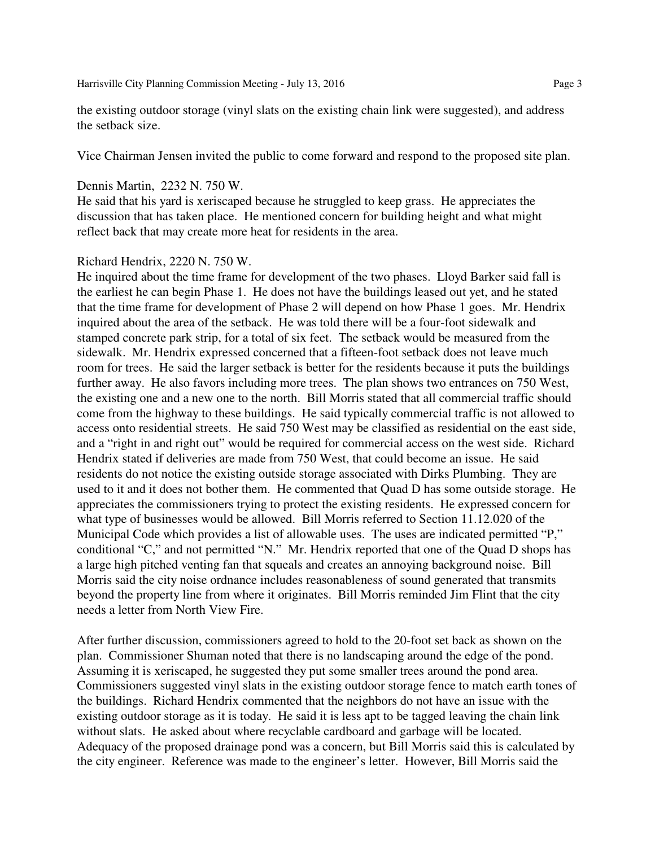Harrisville City Planning Commission Meeting - July 13, 2016 Page 3

the existing outdoor storage (vinyl slats on the existing chain link were suggested), and address the setback size.

Vice Chairman Jensen invited the public to come forward and respond to the proposed site plan.

#### Dennis Martin, 2232 N. 750 W.

He said that his yard is xeriscaped because he struggled to keep grass. He appreciates the discussion that has taken place. He mentioned concern for building height and what might reflect back that may create more heat for residents in the area.

#### Richard Hendrix, 2220 N. 750 W.

He inquired about the time frame for development of the two phases. Lloyd Barker said fall is the earliest he can begin Phase 1. He does not have the buildings leased out yet, and he stated that the time frame for development of Phase 2 will depend on how Phase 1 goes. Mr. Hendrix inquired about the area of the setback. He was told there will be a four-foot sidewalk and stamped concrete park strip, for a total of six feet. The setback would be measured from the sidewalk. Mr. Hendrix expressed concerned that a fifteen-foot setback does not leave much room for trees. He said the larger setback is better for the residents because it puts the buildings further away. He also favors including more trees. The plan shows two entrances on 750 West, the existing one and a new one to the north. Bill Morris stated that all commercial traffic should come from the highway to these buildings. He said typically commercial traffic is not allowed to access onto residential streets. He said 750 West may be classified as residential on the east side, and a "right in and right out" would be required for commercial access on the west side. Richard Hendrix stated if deliveries are made from 750 West, that could become an issue. He said residents do not notice the existing outside storage associated with Dirks Plumbing. They are used to it and it does not bother them. He commented that Quad D has some outside storage. He appreciates the commissioners trying to protect the existing residents. He expressed concern for what type of businesses would be allowed. Bill Morris referred to Section 11.12.020 of the Municipal Code which provides a list of allowable uses. The uses are indicated permitted "P," conditional "C," and not permitted "N." Mr. Hendrix reported that one of the Quad D shops has a large high pitched venting fan that squeals and creates an annoying background noise. Bill Morris said the city noise ordnance includes reasonableness of sound generated that transmits beyond the property line from where it originates. Bill Morris reminded Jim Flint that the city needs a letter from North View Fire.

After further discussion, commissioners agreed to hold to the 20-foot set back as shown on the plan. Commissioner Shuman noted that there is no landscaping around the edge of the pond. Assuming it is xeriscaped, he suggested they put some smaller trees around the pond area. Commissioners suggested vinyl slats in the existing outdoor storage fence to match earth tones of the buildings. Richard Hendrix commented that the neighbors do not have an issue with the existing outdoor storage as it is today. He said it is less apt to be tagged leaving the chain link without slats. He asked about where recyclable cardboard and garbage will be located. Adequacy of the proposed drainage pond was a concern, but Bill Morris said this is calculated by the city engineer. Reference was made to the engineer's letter. However, Bill Morris said the